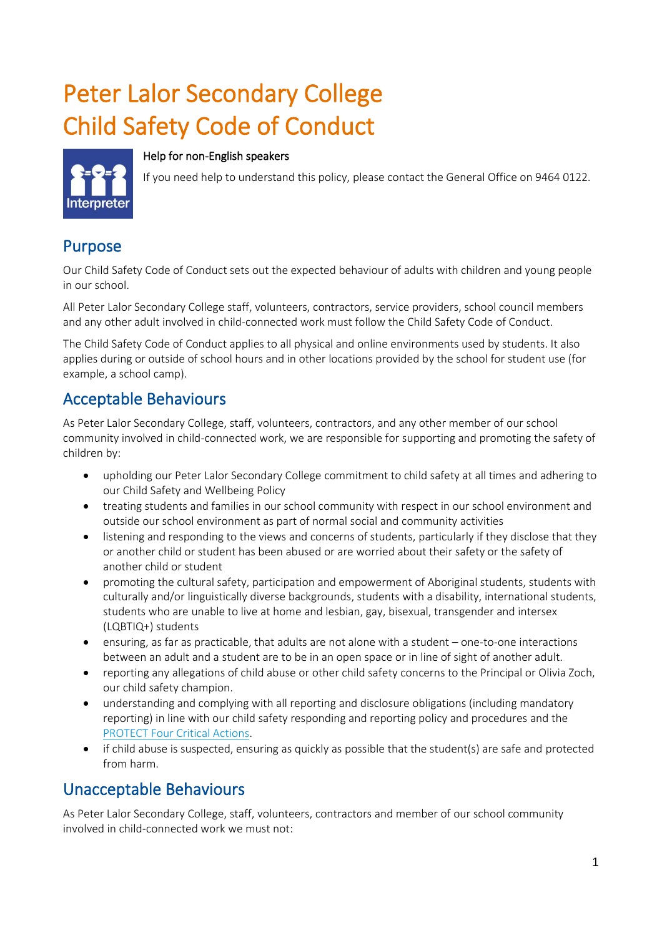# Peter Lalor Secondary College Child Safety Code of Conduct

#### Help for non-English speakers



If you need help to understand this policy, please contact the General Office on 9464 0122.

#### Purpose

Our Child Safety Code of Conduct sets out the expected behaviour of adults with children and young people in our school.

All Peter Lalor Secondary College staff, volunteers, contractors, service providers, school council members and any other adult involved in child-connected work must follow the Child Safety Code of Conduct.

The Child Safety Code of Conduct applies to all physical and online environments used by students. It also applies during or outside of school hours and in other locations provided by the school for student use (for example, a school camp).

### Acceptable Behaviours

As Peter Lalor Secondary College, staff, volunteers, contractors, and any other member of our school community involved in child-connected work, we are responsible for supporting and promoting the safety of children by:

- upholding our Peter Lalor Secondary College commitment to child safety at all times and adhering to our Child Safety and Wellbeing Policy
- treating students and families in our school community with respect in our school environment and outside our school environment as part of normal social and community activities
- listening and responding to the views and concerns of students, particularly if they disclose that they or another child or student has been abused or are worried about their safety or the safety of another child or student
- promoting the cultural safety, participation and empowerment of Aboriginal students, students with culturally and/or linguistically diverse backgrounds, students with a disability, international students, students who are unable to live at home and lesbian, gay, bisexual, transgender and intersex (LQBTIQ+) students
- ensuring, as far as practicable, that adults are not alone with a student one-to-one interactions between an adult and a student are to be in an open space or in line of sight of another adult.
- reporting any allegations of child abuse or other child safety concerns to the Principal or Olivia Zoch, our child safety champion.
- understanding and complying with all reporting and disclosure obligations (including mandatory reporting) in line with our child safety responding and reporting policy and procedures and the [PROTECT Four Critical Actions.](https://www.education.vic.gov.au/Documents/about/programs/health/protect/FourCriticalActions_ChildAbuse.pdf)
- if child abuse is suspected, ensuring as quickly as possible that the student(s) are safe and protected from harm.

#### Unacceptable Behaviours

As Peter Lalor Secondary College, staff, volunteers, contractors and member of our school community involved in child-connected work we must not: